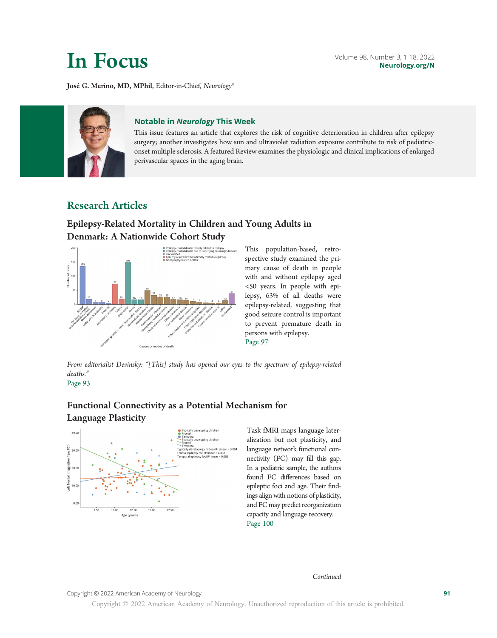José G. Merino, MD, MPhil, Editor-in-Chief, Neurology®



This issue features an article that explores the risk of cognitive deterioration in children after epilepsy surgery; another investigates how sun and ultraviolet radiation exposure contribute to risk of pediatriconset multiple sclerosis. A featured Review examines the physiologic and clinical implications of enlarged perivascular spaces in the aging brain.

## Research Articles

## Epilepsy-Related Mortality in Children and Young Adults in Denmark: A Nationwide Cohort Study



This population-based, retrospective study examined the primary cause of death in people with and without epilepsy aged <50 years. In people with epilepsy, 63% of all deaths were epilepsy-related, suggesting that good seizure control is important to prevent premature death in persons with epilepsy. Page 97

From editorialist Devinsky: "[This] study has opened our eyes to the spectrum of epilepsy-related deaths." Page 93

# Functional Connectivity as a Potential Mechanism for



Task fMRI maps language lateralization but not plasticity, and language network functional connectivity (FC) may fill this gap. In a pediatric sample, the authors found FC differences based on epileptic foci and age. Their findings align with notions of plasticity, and FC may predict reorganization capacity and language recovery. Page 100

Continued

Copyright © 2022 American Academy of Neurology 81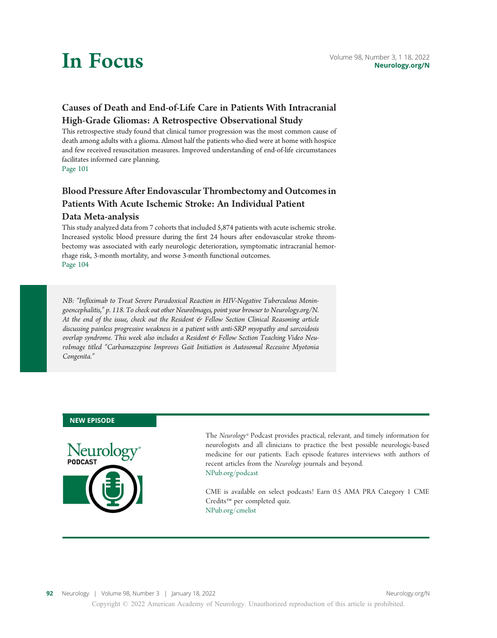

# Causes of Death and End-of-Life Care in Patients With Intracranial High-Grade Gliomas: A Retrospective Observational Study

This retrospective study found that clinical tumor progression was the most common cause of death among adults with a glioma. Almost half the patients who died were at home with hospice and few received resuscitation measures. Improved understanding of end-of-life circumstances facilitates informed care planning. Page 101

# Blood Pressure After Endovascular Thrombectomy and Outcomes in Patients With Acute Ischemic Stroke: An Individual Patient

### Data Meta-analysis

This study analyzed data from 7 cohorts that included 5,874 patients with acute ischemic stroke. Increased systolic blood pressure during the first 24 hours after endovascular stroke thrombectomy was associated with early neurologic deterioration, symptomatic intracranial hemorrhage risk, 3-month mortality, and worse 3-month functional outcomes. Page 104

NB: "Infliximab to Treat Severe Paradoxical Reaction in HIV-Negative Tuberculous Meningoencephalitis," p. 118. To check out other NeuroImages, point your browser to [Neurology.org/N.](http://neurology.org/n) At the end of the issue, check out the Resident & Fellow Section Clinical Reasoning article discussing painless progressive weakness in a patient with anti-SRP myopathy and sarcoidosis overlap syndrome. This week also includes a Resident & Fellow Section Teaching Video NeuroImage titled "Carbamazepine Improves Gait Initiation in Autosomal Recessive Myotonia Congenita."

#### NEW EPISODE



The Neurology® Podcast provides practical, relevant, and timely information for neurologists and all clinicians to practice the best possible neurologic-based medicine for our patients. Each episode features interviews with authors of recent articles from the Neurology journals and beyond. NPub.org/podcast

CME is available on select podcasts! Earn 0.5 AMA PRA Category 1 CME Credits™ per completed quiz. NPub.org/cmelist

Copyright © 2022 American Academy of Neurology. Unauthorized reproduction of this article is prohibited.